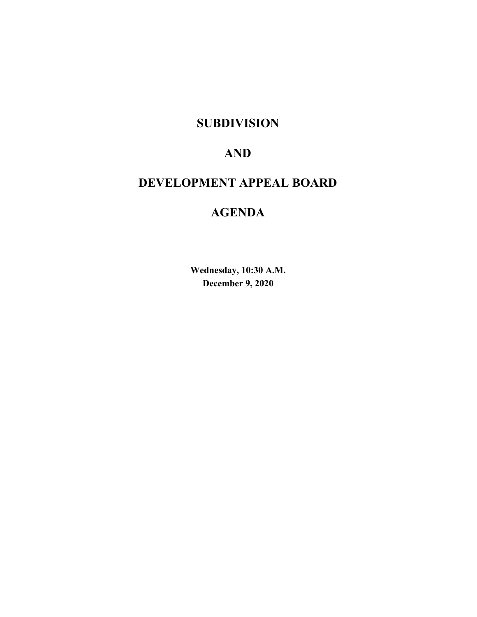## **SUBDIVISION**

# **AND**

# **DEVELOPMENT APPEAL BOARD**

# **AGENDA**

**Wednesday, 10:30 A.M. December 9, 2020**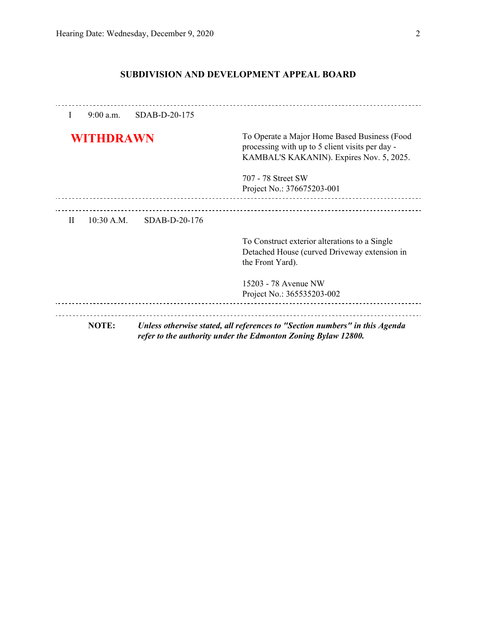### **SUBDIVISION AND DEVELOPMENT APPEAL BOARD**

| I         | $9:00$ a.m.  | SDAB-D-20-175 |                                                                                                                                             |
|-----------|--------------|---------------|---------------------------------------------------------------------------------------------------------------------------------------------|
| WITHDRAWN |              |               | To Operate a Major Home Based Business (Food<br>processing with up to 5 client visits per day -<br>KAMBAL'S KAKANIN). Expires Nov. 5, 2025. |
|           |              |               | 707 - 78 Street SW<br>Project No.: 376675203-001                                                                                            |
| $\rm II$  | $10:30$ A.M. | SDAB-D-20-176 |                                                                                                                                             |
|           |              |               | To Construct exterior alterations to a Single<br>Detached House (curved Driveway extension in<br>the Front Yard).                           |
|           |              |               | 15203 - 78 Avenue NW<br>Project No.: 365535203-002                                                                                          |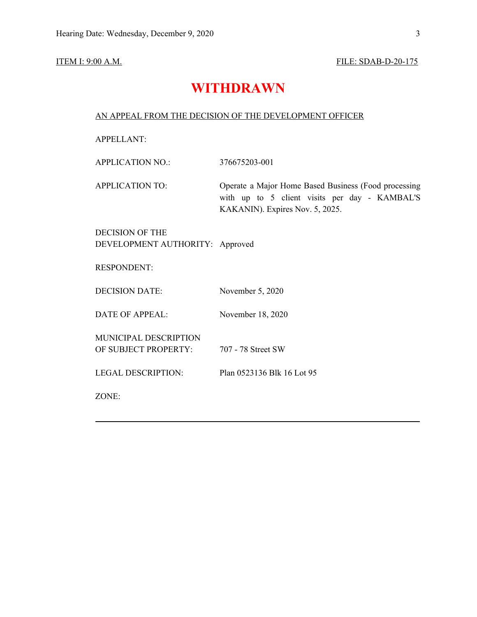#### **ITEM I: 9:00 A.M. FILE: SDAB-D-20-175**

## **WITHDRAWN**

### AN APPEAL FROM THE DECISION OF THE DEVELOPMENT OFFICER

APPELLANT:

APPLICATION NO.: 376675203-001

APPLICATION TO: Operate a Major Home Based Business (Food processing with up to 5 client visits per day - KAMBAL'S KAKANIN). Expires Nov. 5, 2025.

DECISION OF THE DEVELOPMENT AUTHORITY: Approved

RESPONDENT:

DECISION DATE: November 5, 2020

DATE OF APPEAL: November 18, 2020

MUNICIPAL DESCRIPTION OF SUBJECT PROPERTY: 707 - 78 Street SW

LEGAL DESCRIPTION: Plan 0523136 Blk 16 Lot 95

ZONE: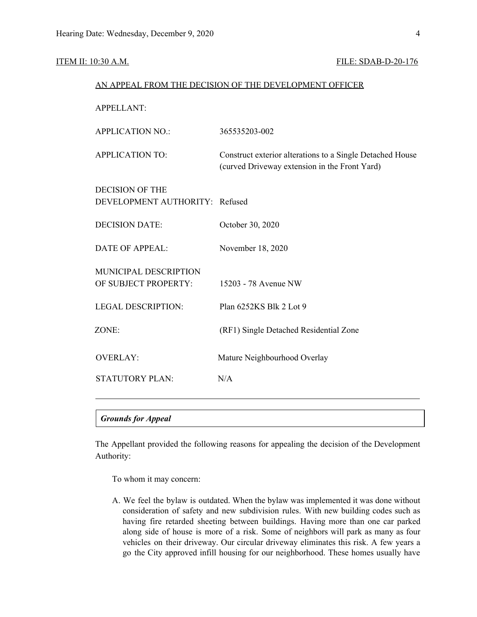#### ITEM II: 10:30 A.M. **FILE: SDAB-D-20-176**

|                                                          | AN APPEAL FROM THE DECISION OF THE DEVELOPMENT OFFICER                                                     |
|----------------------------------------------------------|------------------------------------------------------------------------------------------------------------|
| <b>APPELLANT:</b>                                        |                                                                                                            |
| <b>APPLICATION NO.:</b>                                  | 365535203-002                                                                                              |
| <b>APPLICATION TO:</b>                                   | Construct exterior alterations to a Single Detached House<br>(curved Driveway extension in the Front Yard) |
| <b>DECISION OF THE</b><br>DEVELOPMENT AUTHORITY: Refused |                                                                                                            |
| <b>DECISION DATE:</b>                                    | October 30, 2020                                                                                           |
| <b>DATE OF APPEAL:</b>                                   | November 18, 2020                                                                                          |
| MUNICIPAL DESCRIPTION<br>OF SUBJECT PROPERTY:            | 15203 - 78 Avenue NW                                                                                       |
| <b>LEGAL DESCRIPTION:</b>                                | Plan 6252KS Blk 2 Lot 9                                                                                    |
| ZONE:                                                    | (RF1) Single Detached Residential Zone                                                                     |
| <b>OVERLAY:</b>                                          | Mature Neighbourhood Overlay                                                                               |
| <b>STATUTORY PLAN:</b>                                   | N/A                                                                                                        |

### *Grounds for Appeal*

The Appellant provided the following reasons for appealing the decision of the Development Authority:

To whom it may concern:

A. We feel the bylaw is outdated. When the bylaw was implemented it was done without consideration of safety and new subdivision rules. With new building codes such as having fire retarded sheeting between buildings. Having more than one car parked along side of house is more of a risk. Some of neighbors will park as many as four vehicles on their driveway. Our circular driveway eliminates this risk. A few years a go the City approved infill housing for our neighborhood. These homes usually have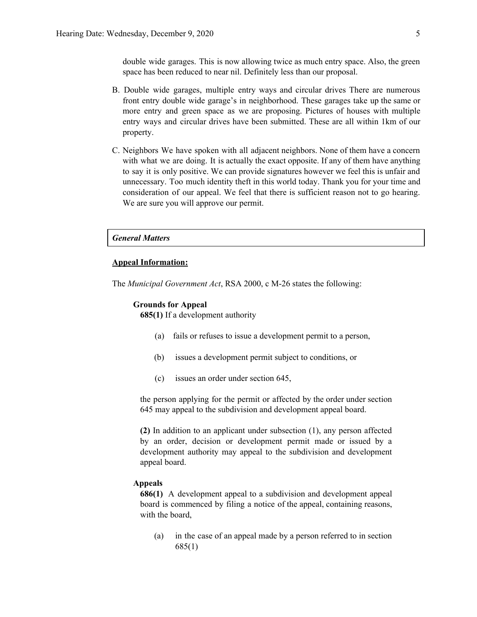double wide garages. This is now allowing twice as much entry space. Also, the green space has been reduced to near nil. Definitely less than our proposal.

- B. Double wide garages, multiple entry ways and circular drives There are numerous front entry double wide garage's in neighborhood. These garages take up the same or more entry and green space as we are proposing. Pictures of houses with multiple entry ways and circular drives have been submitted. These are all within 1km of our property.
- C. Neighbors We have spoken with all adjacent neighbors. None of them have a concern with what we are doing. It is actually the exact opposite. If any of them have anything to say it is only positive. We can provide signatures however we feel this is unfair and unnecessary. Too much identity theft in this world today. Thank you for your time and consideration of our appeal. We feel that there is sufficient reason not to go hearing. We are sure you will approve our permit.

#### *General Matters*

#### **Appeal Information:**

The *Municipal Government Act*, RSA 2000, c M-26 states the following:

#### **Grounds for Appeal**

**685(1)** If a development authority

- (a) fails or refuses to issue a development permit to a person,
- (b) issues a development permit subject to conditions, or
- (c) issues an order under section 645,

the person applying for the permit or affected by the order under section 645 may appeal to the subdivision and development appeal board.

**(2)** In addition to an applicant under subsection (1), any person affected by an order, decision or development permit made or issued by a development authority may appeal to the subdivision and development appeal board.

### **Appeals**

**686(1)** A development appeal to a subdivision and development appeal board is commenced by filing a notice of the appeal, containing reasons, with the board,

(a) in the case of an appeal made by a person referred to in section 685(1)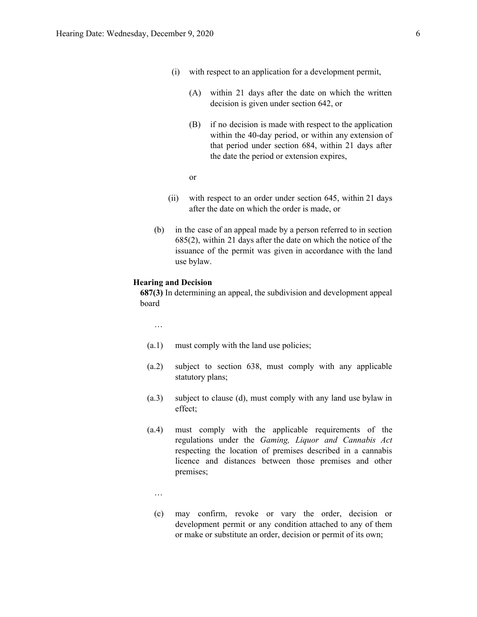- (i) with respect to an application for a development permit,
	- (A) within 21 days after the date on which the written decision is given under section 642, or
	- (B) if no decision is made with respect to the application within the 40-day period, or within any extension of that period under section 684, within 21 days after the date the period or extension expires,
	- or
- (ii) with respect to an order under section 645, within 21 days after the date on which the order is made, or
- (b) in the case of an appeal made by a person referred to in section 685(2), within 21 days after the date on which the notice of the issuance of the permit was given in accordance with the land use bylaw.

#### **Hearing and Decision**

**687(3)** In determining an appeal, the subdivision and development appeal board

…

- (a.1) must comply with the land use policies;
- (a.2) subject to section 638, must comply with any applicable statutory plans;
- (a.3) subject to clause (d), must comply with any land use bylaw in effect;
- (a.4) must comply with the applicable requirements of the regulations under the *Gaming, Liquor and Cannabis Act* respecting the location of premises described in a cannabis licence and distances between those premises and other premises;
	- …
	- (c) may confirm, revoke or vary the order, decision or development permit or any condition attached to any of them or make or substitute an order, decision or permit of its own;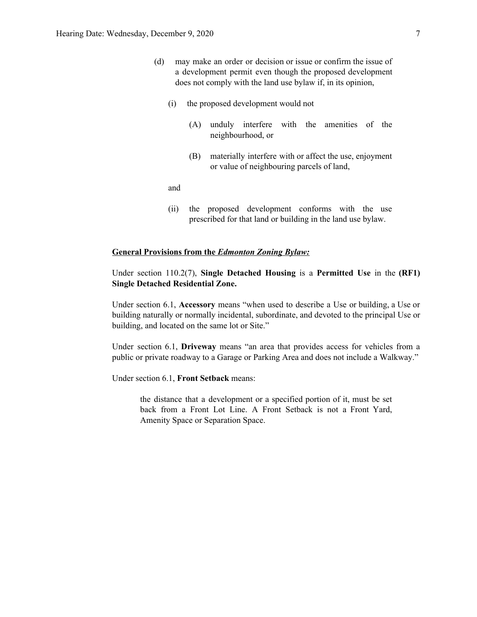- (d) may make an order or decision or issue or confirm the issue of a development permit even though the proposed development does not comply with the land use bylaw if, in its opinion,
	- (i) the proposed development would not
		- (A) unduly interfere with the amenities of the neighbourhood, or
		- (B) materially interfere with or affect the use, enjoyment or value of neighbouring parcels of land,

and

(ii) the proposed development conforms with the use prescribed for that land or building in the land use bylaw.

#### **General Provisions from the** *Edmonton Zoning Bylaw:*

Under section 110.2(7), **Single Detached Housing** is a **Permitted Use** in the **(RF1) Single Detached Residential Zone.**

Under section 6.1, **Accessory** means "when used to describe a Use or building, a Use or building naturally or normally incidental, subordinate, and devoted to the principal Use or building, and located on the same lot or Site."

Under section 6.1, **Driveway** means "an area that provides access for vehicles from a public or private roadway to a Garage or Parking Area and does not include a Walkway."

Under section 6.1, **Front Setback** means:

the distance that a development or a specified portion of it, must be set back from a Front Lot Line. A Front Setback is not a Front Yard, Amenity Space or Separation Space.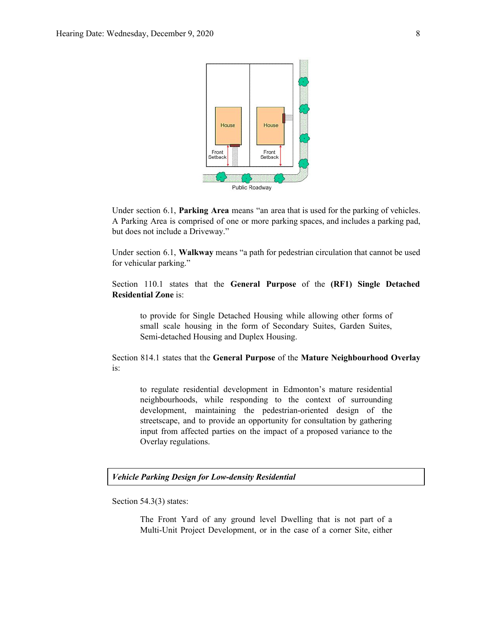

Under section 6.1, **Parking Area** means "an area that is used for the parking of vehicles. A Parking Area is comprised of one or more parking spaces, and includes a parking pad, but does not include a Driveway."

Under section 6.1, **Walkway** means "a path for pedestrian circulation that cannot be used for vehicular parking."

Section 110.1 states that the **General Purpose** of the **(RF1) Single Detached Residential Zone** is:

to provide for Single Detached Housing while allowing other forms of small scale housing in the form of Secondary Suites, Garden Suites, Semi-detached Housing and Duplex Housing.

Section 814.1 states that the **General Purpose** of the **Mature Neighbourhood Overlay** is:

to regulate residential development in Edmonton's mature residential neighbourhoods, while responding to the context of surrounding development, maintaining the pedestrian-oriented design of the streetscape, and to provide an opportunity for consultation by gathering input from affected parties on the impact of a proposed variance to the Overlay regulations.

#### *Vehicle Parking Design for Low-density Residential*

Section 54.3(3) states:

The Front Yard of any ground level Dwelling that is not part of a Multi-Unit Project Development, or in the case of a corner Site, either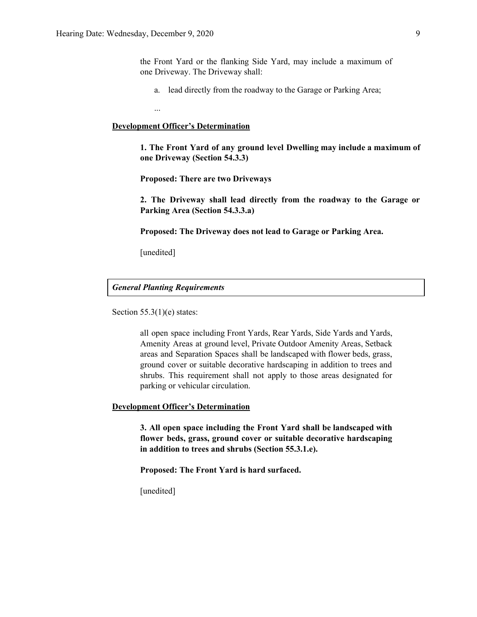the Front Yard or the flanking Side Yard, may include a maximum of one Driveway. The Driveway shall:

a. lead directly from the roadway to the Garage or Parking Area;

...

### **Development Officer's Determination**

**1. The Front Yard of any ground level Dwelling may include a maximum of one Driveway (Section 54.3.3)**

**Proposed: There are two Driveways**

**2. The Driveway shall lead directly from the roadway to the Garage or Parking Area (Section 54.3.3.a)**

**Proposed: The Driveway does not lead to Garage or Parking Area.**

[unedited]

*General Planting Requirements*

Section  $55.3(1)(e)$  states:

all open space including Front Yards, Rear Yards, Side Yards and Yards, Amenity Areas at ground level, Private Outdoor Amenity Areas, Setback areas and Separation Spaces shall be landscaped with flower beds, grass, ground cover or suitable decorative hardscaping in addition to trees and shrubs. This requirement shall not apply to those areas designated for parking or vehicular circulation.

### **Development Officer's Determination**

**3. All open space including the Front Yard shall be landscaped with flower beds, grass, ground cover or suitable decorative hardscaping in addition to trees and shrubs (Section 55.3.1.e).**

**Proposed: The Front Yard is hard surfaced.**

[unedited]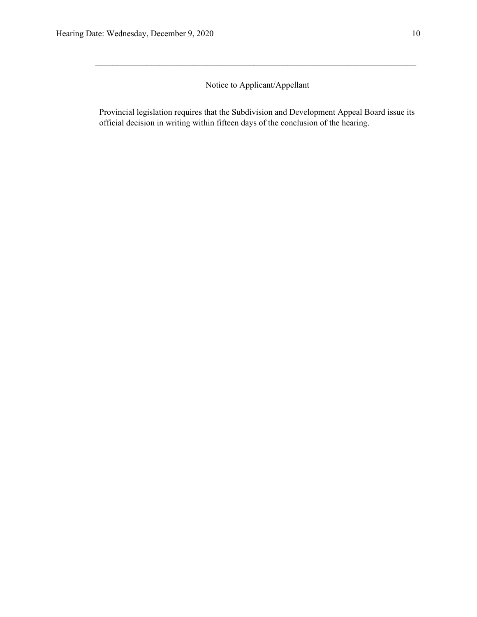### Notice to Applicant/Appellant

 $\mathcal{L}_\text{max} = \frac{1}{2} \sum_{i=1}^n \mathcal{L}_\text{max} = \frac{1}{2} \sum_{i=1}^n \mathcal{L}_\text{max} = \frac{1}{2} \sum_{i=1}^n \mathcal{L}_\text{max} = \frac{1}{2} \sum_{i=1}^n \mathcal{L}_\text{max} = \frac{1}{2} \sum_{i=1}^n \mathcal{L}_\text{max} = \frac{1}{2} \sum_{i=1}^n \mathcal{L}_\text{max} = \frac{1}{2} \sum_{i=1}^n \mathcal{L}_\text{max} = \frac{1}{2} \sum_{i=$ 

Provincial legislation requires that the Subdivision and Development Appeal Board issue its official decision in writing within fifteen days of the conclusion of the hearing.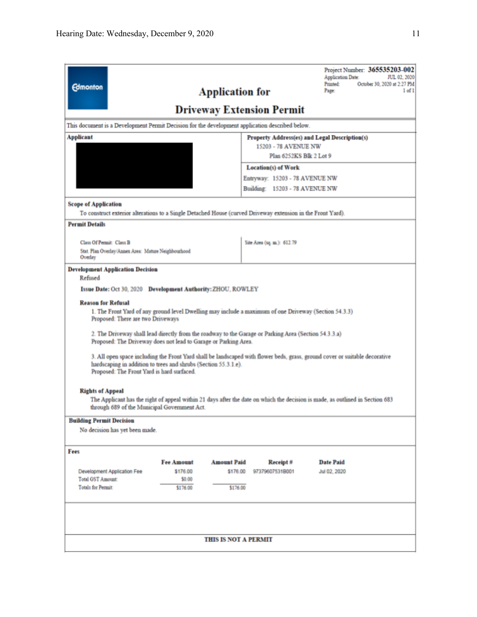| <b>Edmonton</b><br><b>Application for</b><br><b>Driveway Extension Permit</b>                                                                                                                                                                                                                                                                                                                                                                                                                                                                                                                                                                                                                                             | Project Number: 365535203-002<br>JUL 02, 2020<br><b>Application Date:</b><br>October 30, 2020 at 2:27 PM<br>Printed:<br>Page:<br>1 of 1 |  |  |  |  |
|---------------------------------------------------------------------------------------------------------------------------------------------------------------------------------------------------------------------------------------------------------------------------------------------------------------------------------------------------------------------------------------------------------------------------------------------------------------------------------------------------------------------------------------------------------------------------------------------------------------------------------------------------------------------------------------------------------------------------|-----------------------------------------------------------------------------------------------------------------------------------------|--|--|--|--|
| This document is a Development Permit Decision for the development application described below.                                                                                                                                                                                                                                                                                                                                                                                                                                                                                                                                                                                                                           |                                                                                                                                         |  |  |  |  |
| <b>Applicant</b>                                                                                                                                                                                                                                                                                                                                                                                                                                                                                                                                                                                                                                                                                                          | Property Address(es) and Legal Description(s)<br>15203 - 78 AVENUE NW<br>Plan 6252KS Blk 2 Lot 9                                        |  |  |  |  |
|                                                                                                                                                                                                                                                                                                                                                                                                                                                                                                                                                                                                                                                                                                                           | <b>Location(s) of Work</b>                                                                                                              |  |  |  |  |
|                                                                                                                                                                                                                                                                                                                                                                                                                                                                                                                                                                                                                                                                                                                           | Entryway: 15203 - 78 AVENUE NW                                                                                                          |  |  |  |  |
|                                                                                                                                                                                                                                                                                                                                                                                                                                                                                                                                                                                                                                                                                                                           | Building: 15203 - 78 AVENUE NW                                                                                                          |  |  |  |  |
| <b>Scope of Application</b><br>To construct exterior alterations to a Single Detached House (curved Driveway extension in the Front Yard).                                                                                                                                                                                                                                                                                                                                                                                                                                                                                                                                                                                |                                                                                                                                         |  |  |  |  |
| <b>Permit Details</b>                                                                                                                                                                                                                                                                                                                                                                                                                                                                                                                                                                                                                                                                                                     |                                                                                                                                         |  |  |  |  |
| Class Of Permit: Class B<br>Stat. Plan Overlay/Annex Area: Mature Neighbourhood<br>Overlay                                                                                                                                                                                                                                                                                                                                                                                                                                                                                                                                                                                                                                | Site Area (sq. m.): 612.79                                                                                                              |  |  |  |  |
| <b>Development Application Decision</b><br>Refused<br>Issue Date: Oct 30, 2020 Development Authority: ZHOU, ROWLEY<br><b>Reason for Refusal</b><br>1. The Front Yard of any ground level Dwelling may include a maximum of one Driveway (Section 54.3.3)<br>Proposed: There are two Driveways<br>2. The Driveway shall lead directly from the roadway to the Garage or Parking Area (Section 54.3.3.a)<br>Proposed: The Driveway does not lead to Garage or Parking Area.<br>3. All open space including the Front Yard shall be landscaped with flower beds, grass, ground cover or suitable decorative<br>hardscaping in addition to trees and shrubs (Section 55.3.1.e).<br>Proposed: The Front Yard is hard surfaced. |                                                                                                                                         |  |  |  |  |
| <b>Rights of Appeal</b><br>The Applicant has the right of appeal within 21 days after the date on which the decision is made, as outlined in Section 683<br>through 689 of the Municipal Government Act.<br><b>Building Permit Decision</b><br>No decision has yet been made.                                                                                                                                                                                                                                                                                                                                                                                                                                             |                                                                                                                                         |  |  |  |  |
|                                                                                                                                                                                                                                                                                                                                                                                                                                                                                                                                                                                                                                                                                                                           |                                                                                                                                         |  |  |  |  |
| Fees<br><b>Fee Amount</b><br><b>Amount Paid</b><br>Development Application Fee<br>\$176.00<br>\$176.00<br><b>Total GST Amount:</b><br>\$0.00<br><b>Totals for Permit:</b><br>\$176.00<br>\$176.00                                                                                                                                                                                                                                                                                                                                                                                                                                                                                                                         | Receipt#<br><b>Date Paid</b><br>97379607531B001<br>Jul 02, 2020                                                                         |  |  |  |  |
| <b>THIS IS NOT A PERMIT</b>                                                                                                                                                                                                                                                                                                                                                                                                                                                                                                                                                                                                                                                                                               |                                                                                                                                         |  |  |  |  |